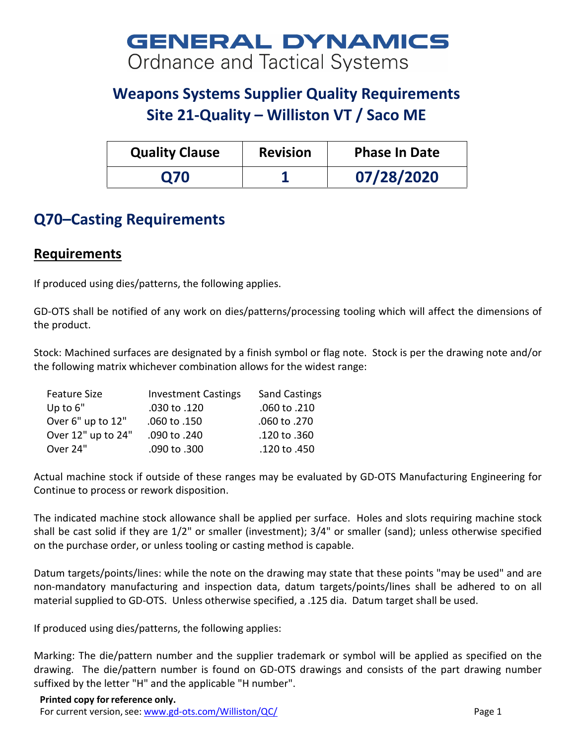# **GENERAL DYNAMICS Ordnance and Tactical Systems**

# **Weapons Systems Supplier Quality Requirements Site 21-Quality – Williston VT / Saco ME**

| <b>Quality Clause</b> | <b>Revision</b> | <b>Phase In Date</b> |
|-----------------------|-----------------|----------------------|
| <b>Q70</b>            |                 | 07/28/2020           |

## **Q70–Casting Requirements**

### **Requirements**

If produced using dies/patterns, the following applies.

GD-OTS shall be notified of any work on dies/patterns/processing tooling which will affect the dimensions of the product.

Stock: Machined surfaces are designated by a finish symbol or flag note. Stock is per the drawing note and/or the following matrix whichever combination allows for the widest range:

| <b>Investment Castings</b> | <b>Sand Castings</b> |
|----------------------------|----------------------|
| .030 to .120               | .060 to .210         |
| .060 to .150               | .060 to .270         |
| .090 to .240               | .120 to .360         |
| .090 to .300               | .120 to .450         |
|                            |                      |

Actual machine stock if outside of these ranges may be evaluated by GD-OTS Manufacturing Engineering for Continue to process or rework disposition.

The indicated machine stock allowance shall be applied per surface. Holes and slots requiring machine stock shall be cast solid if they are 1/2" or smaller (investment); 3/4" or smaller (sand); unless otherwise specified on the purchase order, or unless tooling or casting method is capable.

Datum targets/points/lines: while the note on the drawing may state that these points "may be used" and are non-mandatory manufacturing and inspection data, datum targets/points/lines shall be adhered to on all material supplied to GD-OTS. Unless otherwise specified, a .125 dia. Datum target shall be used.

If produced using dies/patterns, the following applies:

Marking: The die/pattern number and the supplier trademark or symbol will be applied as specified on the drawing. The die/pattern number is found on GD-OTS drawings and consists of the part drawing number suffixed by the letter "H" and the applicable "H number".